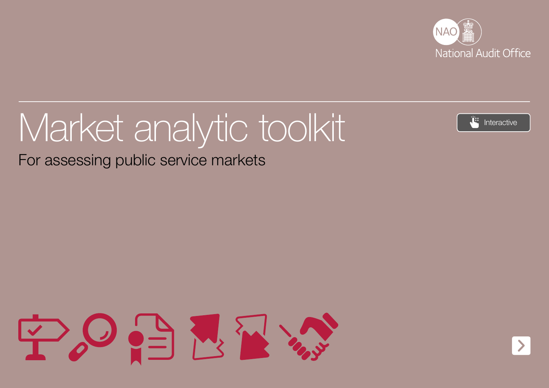



# Market analytic toolkit

For assessing public service markets

POBBBB

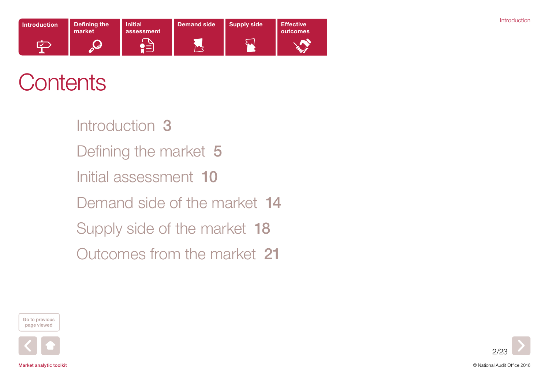

# **Contents**

[Introduction](#page-2-0) 3 [Defining the market](#page-4-0) 5 [Initial assessment](#page-9-0) 10 [Demand side of the market](#page-13-0) 14 [Supply side of the market](#page-17-0) 18 [Outcomes from the market](#page-20-0) 21





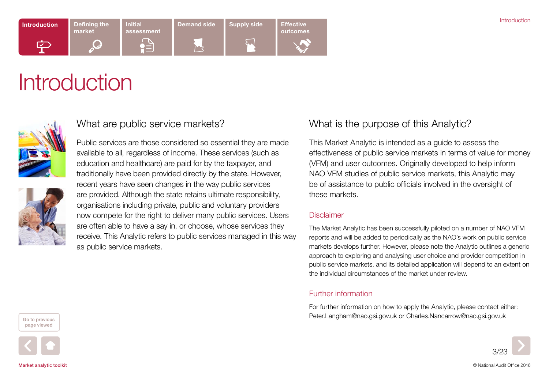# <span id="page-2-0"></span>**Introduction**





What are public service markets?

Public services are those considered so essential they are made available to all, regardless of income. These services (such as education and healthcare) are paid for by the taxpayer, and traditionally have been provided directly by the state. However, recent years have seen changes in the way public services are provided. Although the state retains ultimate responsibility, organisations including private, public and voluntary providers now compete for the right to deliver many public services. Users are often able to have a say in, or choose, whose services they receive. This Analytic refers to public services managed in this way as public service markets.

### What is the purpose of this Analytic?

This Market Analytic is intended as a guide to assess the effectiveness of public service markets in terms of value for money (VFM) and user outcomes. Originally developed to help inform NAO VFM studies of public service markets, this Analytic may be of assistance to public officials involved in the oversight of these markets.

#### **Disclaimer**

The Market Analytic has been successfully piloted on a number of NAO VFM reports and will be added to periodically as the NAO's work on public service markets develops further. However, please note the Analytic outlines a generic approach to exploring and analysing user choice and provider competition in public service markets, and its detailed application will depend to an extent on the individual circumstances of the market under review.

#### Further information

For further information on how to apply the Analytic, please contact either: Reter.Langham@nao.gsi.gov.uk or Charles.Nancarrow@nao.gsi.gov.uk Go to previous



page viewed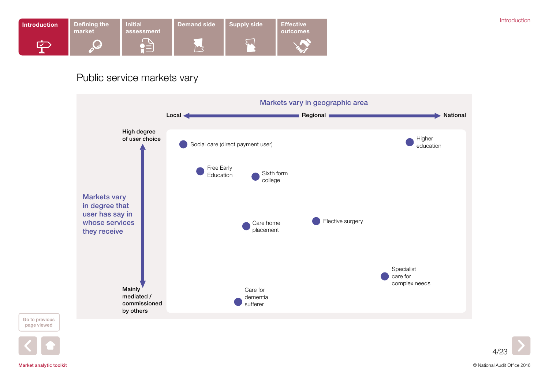

### Public service markets vary



Go to previous page viewed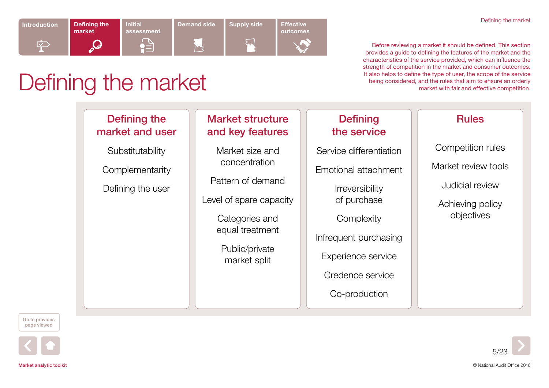# <span id="page-4-0"></span>Defining the market

Before reviewing a market it should be defined. This section provides a guide to defining the features of the market and the characteristics of the service provided, which can influence the strength of competition in the market and consumer outcomes. It also helps to define the type of user, the scope of the service being considered, and the rules that aim to ensure an orderly market with fair and effective competition.

### [Defining the](#page-5-0)  [market and user](#page-5-0)

**Substitutability** 

**Complementarity** 

Defining the user

## [Market structure](#page-6-0)  [and key features](#page-6-0)

Market size and concentration

Pattern of demand

Level of spare capacity

Categories and equal treatment

Public/private market split

### **Defining** [the s](#page-7-0)ervice

Service differentiation

Emotional attachment

**Irreversibility** of purchase

**Complexity** 

Infrequent purchasing

Experience service

Credence service

Co-production

### [Rules](#page-8-0)

Competition rules

Market review tools

Judicial review

Achieving policy objectives



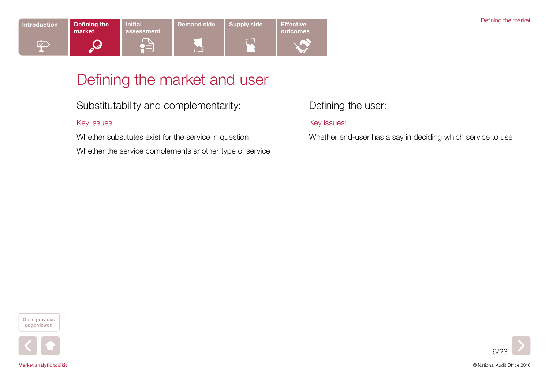# <span id="page-5-0"></span>Defining the market and user

Substitutability and complementarity:

#### Key issues:

Whether substitutes exist for the service in question

Whether the service complements another type of service

## Defining the user:

#### Key issues:

Whether end-user has a say in deciding which service to use



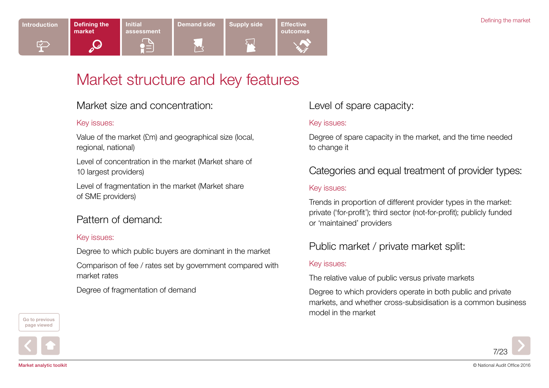# <span id="page-6-0"></span>Market structure and key features

## Market size and concentration:

#### Key issues:

Value of the market (£m) and geographical size (local, regional, national)

Level of concentration in the market (Market share of 10 largest providers)

Level of fragmentation in the market (Market share of SME providers)

## Pattern of demand:

#### Key issues:

Degree to which public buyers are dominant in the market

Comparison of fee / rates set by government compared with market rates

Degree of fragmentation of demand

# Level of spare capacity:

#### Key issues:

Degree of spare capacity in the market, and the time needed to change it

## Categories and equal treatment of provider types:

#### Key issues:

Trends in proportion of different provider types in the market: private ('for-profit'); third sector (not-for-profit); publicly funded or 'maintained' providers

### Public market / private market split:

#### Key issues:

The relative value of public versus private markets

Degree to which providers operate in both public and private markets, and whether cross-subsidisation is a common business model in the market



page viewed

Go to previous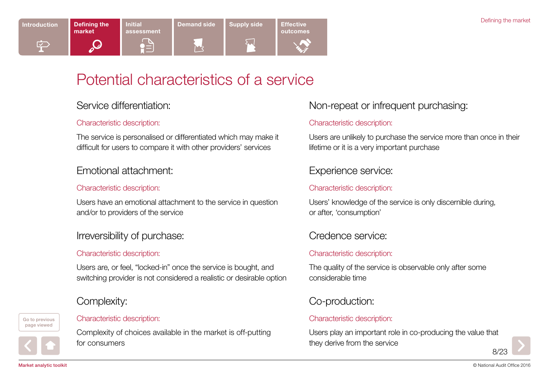# <span id="page-7-0"></span>Potential characteristics of a service

### Service differentiation:

#### Characteristic description:

The service is personalised or differentiated which may make it difficult for users to compare it with other providers' services

### Emotional attachment:

#### Characteristic description:

Users have an emotional attachment to the service in question and/or to providers of the service

### Irreversibility of purchase:

#### Characteristic description:

Users are, or feel, "locked-in" once the service is bought, and switching provider is not considered a realistic or desirable option

# Complexity:

#### Go to previous page viewed

Characteristic description:

Complexity of choices available in the market is off-putting for consumers

# Non-repeat or infrequent purchasing:

#### Characteristic description:

Users are unlikely to purchase the service more than once in their lifetime or it is a very important purchase

# Experience service:

#### Characteristic description:

Users' knowledge of the service is only discernible during, or after, 'consumption'

## Credence service:

#### Characteristic description:

The quality of the service is observable only after some considerable time

# Co-production:

#### Characteristic description:

Users play an important role in co-producing the value that they derive from the service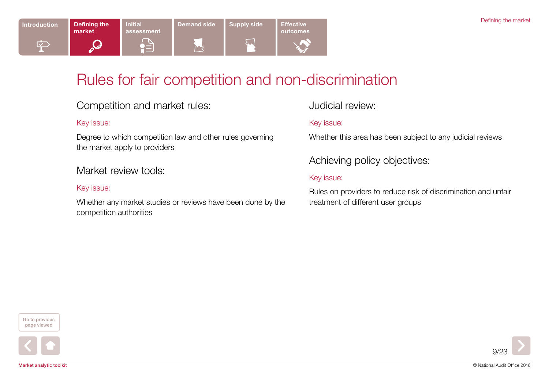# <span id="page-8-0"></span>Rules for fair competition and non-discrimination

## Competition and market rules:

#### Key issue:

Degree to which competition law and other rules governing the market apply to providers

### Market review tools:

#### Key issue:

Whether any market studies or reviews have been done by the competition authorities

### Judicial review:

#### Key issue:

Whether this area has been subject to any judicial reviews

# Achieving policy objectives:

#### Key issue:

Rules on providers to reduce risk of discrimination and unfair treatment of different user groups

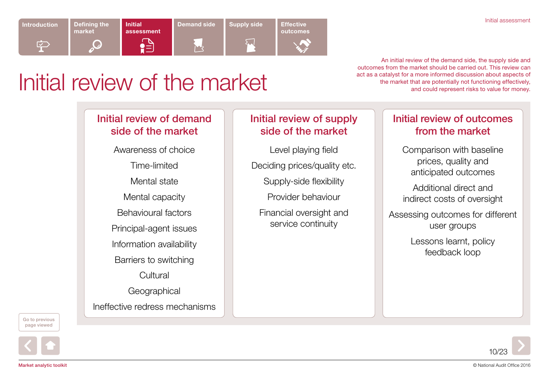<span id="page-9-0"></span>

An initial review of the demand side, the supply side and outcomes from the market should be carried out. This review can act as a catalyst for a more informed discussion about aspects of the market that are potentially not functioning effectively, and could represent risks to value for money.

# Initial review of the market

### [Initial review of demand](#page-10-0)  [side of the market](#page-10-0)

Awareness of choice

Time-limited

Mental state

Mental capacity

Behavioural factors

Principal-agent issues

Information availability

Barriers to switching

**Cultural** 

**Geographical** Ineffective redress mechanisms

# [Initial review of supply](#page-11-0)  [side of the market](#page-11-0)

Level playing field Deciding prices/quality etc. Supply-side flexibility

Provider behaviour

Financial oversight and service continuity

### [Initial review of outcomes](#page-12-0)  [from the market](#page-12-0)

Comparison with baseline prices, quality and anticipated outcomes

Additional direct and indirect costs of oversight

Assessing outcomes for different user groups

> Lessons learnt, policy feedback loop

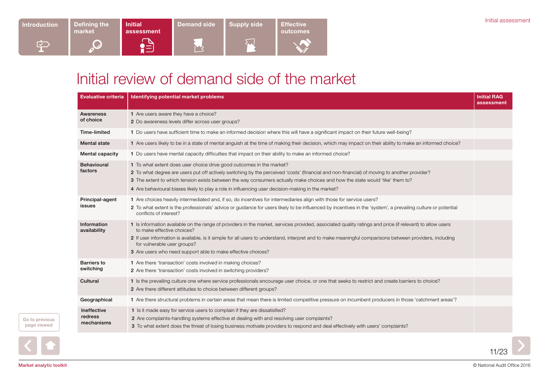# <span id="page-10-0"></span>Initial review of demand side of the market

| <b>Evaluative criteria</b>           | Identifying potential market problems                                                                                                                                                                                                                                                                                                                                                                                                                    | <b>Initial RAG</b><br>assessment |
|--------------------------------------|----------------------------------------------------------------------------------------------------------------------------------------------------------------------------------------------------------------------------------------------------------------------------------------------------------------------------------------------------------------------------------------------------------------------------------------------------------|----------------------------------|
| Awareness<br>of choice               | 1 Are users aware they have a choice?<br>2 Do awareness levels differ across user groups?                                                                                                                                                                                                                                                                                                                                                                |                                  |
| Time-limited                         | 1 Do users have sufficient time to make an informed decision where this will have a significant impact on their future well-being?                                                                                                                                                                                                                                                                                                                       |                                  |
| <b>Mental state</b>                  | 1 Are users likely to be in a state of mental anguish at the time of making their decision, which may impact on their ability to make an informed choice?                                                                                                                                                                                                                                                                                                |                                  |
| Mental capacity                      | 1 Do users have mental capacity difficulties that impact on their ability to make an informed choice?                                                                                                                                                                                                                                                                                                                                                    |                                  |
| Behavioural<br>factors               | 1 To what extent does user choice drive good outcomes in the market?<br>2 To what degree are users put off actively switching by the perceived 'costs' (financial and non-financial) of moving to another provider?<br>3 The extent to which tension exists between the way consumers actually make choices and how the state would 'like' them to?<br>4 Are behavioural biases likely to play a role in influencing user decision-making in the market? |                                  |
| Principal-agent<br>issues            | 1 Are choices heavily intermediated and, if so, do incentives for intermediaries align with those for service users?<br>2 To what extent is the professionals' advice or guidance for users likely to be influenced by incentives in the 'system', a prevailing culture or potential<br>conflicts of interest?                                                                                                                                           |                                  |
| Information<br>availability          | 1 Is information available on the range of providers in the market, services provided, associated quality ratings and price (if relevant) to allow users<br>to make effective choices?<br>2 If user information is available, is it simple for all users to understand, interpret and to make meaningful comparisons between providers, including<br>for vulnerable user groups?<br>3 Are users who need support able to make effective choices?         |                                  |
| <b>Barriers to</b><br>switching      | 1 Are there 'transaction' costs involved in making choices?<br>2 Are there 'transaction' costs involved in switching providers?                                                                                                                                                                                                                                                                                                                          |                                  |
| Cultural                             | 1 Is the prevailing culture one where service professionals encourage user choice, or one that seeks to restrict and create barriers to choice?<br>2 Are there different attitudes to choice between different groups?                                                                                                                                                                                                                                   |                                  |
| Geographical                         | 1 Are there structural problems in certain areas that mean there is limited competitive pressure on incumbent producers in those 'catchment areas'?                                                                                                                                                                                                                                                                                                      |                                  |
| Ineffective<br>redress<br>mechanisms | 1 Is it made easy for service users to complain if they are dissatisfied?<br>2 Are complaints-handling systems effective at dealing with and resolving user complaints?<br>3 To what extent does the threat of losing business motivate providers to respond and deal effectively with users' complaints?                                                                                                                                                |                                  |

Go to previous page viewed

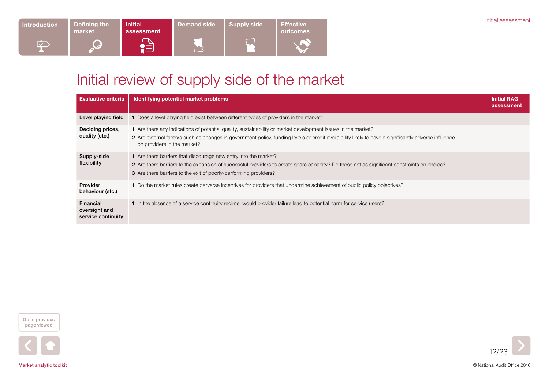# <span id="page-11-0"></span>Initial review of supply side of the market

| <b>Evaluative criteria</b>                       | Identifying potential market problems                                                                                                                                                                                                                                                               | <b>Initial RAG</b><br>assessment |
|--------------------------------------------------|-----------------------------------------------------------------------------------------------------------------------------------------------------------------------------------------------------------------------------------------------------------------------------------------------------|----------------------------------|
| Level playing field                              | 1 Does a level playing field exist between different types of providers in the market?                                                                                                                                                                                                              |                                  |
| Deciding prices,<br>quality (etc.)               | 1 Are there any indications of potential quality, sustainability or market development issues in the market?<br>2 Are external factors such as changes in government policy, funding levels or credit availaibility likely to have a significantly adverse influence<br>on providers in the market? |                                  |
| Supply-side<br>flexibility                       | 1 Are there barriers that discourage new entry into the market?<br>2 Are there barriers to the expansion of successful providers to create spare capacity? Do these act as significant constraints on choice?<br>3 Are there barriers to the exit of poorly-performing providers?                   |                                  |
| Provider<br>behaviour (etc.)                     | 1 Do the market rules create perverse incentives for providers that undermine achievement of public policy objectives?                                                                                                                                                                              |                                  |
| Financial<br>oversight and<br>service continuity | 1 In the absence of a service continuity regime, would provider failure lead to potential harm for service users?                                                                                                                                                                                   |                                  |



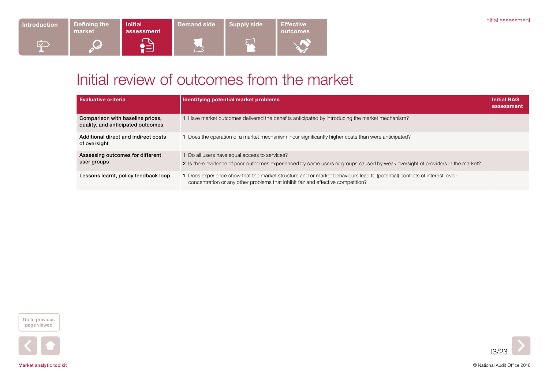# <span id="page-12-0"></span>Initial review of outcomes from the market

| <b>Evaluative criteria</b>                                            | Identifying potential market problems                                                                                                                                                                          | <b>Initial RAG</b><br>assessment |
|-----------------------------------------------------------------------|----------------------------------------------------------------------------------------------------------------------------------------------------------------------------------------------------------------|----------------------------------|
| Comparison with baseline prices,<br>quality, and anticipated outcomes | 1 Have market outcomes delivered the benefits anticipated by introducing the market mechanism?                                                                                                                 |                                  |
| Additional direct and indirect costs<br>of oversight                  | 1 Does the operation of a market mechanism incur significantly higher costs than were anticipated?                                                                                                             |                                  |
| Assessing outcomes for different<br>user groups                       | 1 Do all users have equal access to services?<br>2 Is there evidence of poor outcomes experienced by some users or groups caused by weak oversight of providers in the market?                                 |                                  |
| Lessons learnt, policy feedback loop                                  | 1 Does experience show that the market structure and or market behaviours lead to (potential) conflicts of interest, over-<br>concentration or any other problems that inhibit fair and effective competition? |                                  |



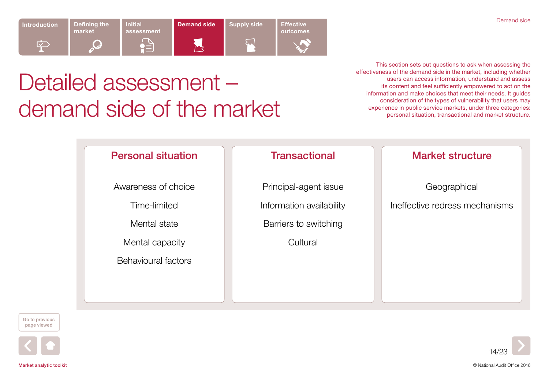<span id="page-13-0"></span>

Detailed assessment –

demand side of the market

This section sets out questions to ask when assessing the effectiveness of the demand side in the market, including whether users can access information, understand and assess its content and feel sufficiently empowered to act on the information and make choices that meet their needs. It quides consideration of the types of vulnerability that users may experience in public service markets, under three categories: personal situation, transactional and market structure.





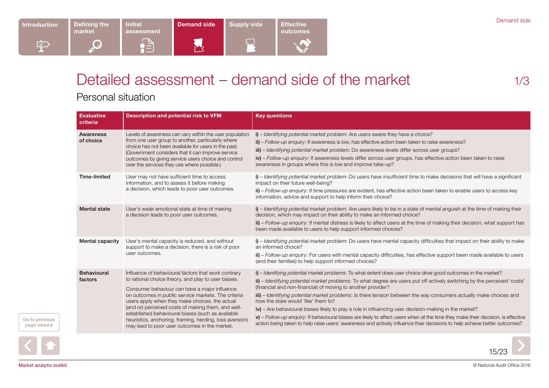# <span id="page-14-0"></span>Detailed assessment – demand side of the market 1/3

Personal situation

| <b>Evaluative</b><br>criteria | <b>Description and potential risk to VFM</b>                                                                                                                                                                                                                                                                                                                                                                                                                                                | <b>Key questions</b>                                                                                                                                                                                                                                                                                                                                                                                                                                                                                                                                                                                                                                                                                                                                                                                                                                  |
|-------------------------------|---------------------------------------------------------------------------------------------------------------------------------------------------------------------------------------------------------------------------------------------------------------------------------------------------------------------------------------------------------------------------------------------------------------------------------------------------------------------------------------------|-------------------------------------------------------------------------------------------------------------------------------------------------------------------------------------------------------------------------------------------------------------------------------------------------------------------------------------------------------------------------------------------------------------------------------------------------------------------------------------------------------------------------------------------------------------------------------------------------------------------------------------------------------------------------------------------------------------------------------------------------------------------------------------------------------------------------------------------------------|
| Awareness<br>of choice        | Levels of awareness can vary within the user population<br>from one user group to another, particularly where<br>choice has not been available for users in the past.<br>(Government considers that it can improve service<br>outcomes by giving service users choice and control<br>over the services they use where possible.)                                                                                                                                                            | i) – Identifying potential market problem: Are users aware they have a choice?<br>ii) - Follow-up enquiry: If awareness is low, has effective action been taken to raise awareness?<br>iii) - Identifying potential market problem: Do awareness levels differ across user groups?<br>iv) – Follow-up enquiry: If awareness levels differ across user groups, has effective action been taken to raise<br>awareness in groups where this is low and improve take-up?                                                                                                                                                                                                                                                                                                                                                                                  |
| Time-limited                  | User may not have sufficient time to access<br>information, and to assess it before making<br>a decision, which leads to poor user outcomes.                                                                                                                                                                                                                                                                                                                                                | i) – Identifying potential market problem: Do users have insufficient time to make decisions that will have a significant<br>impact on their future well-being?<br>$ii$ ) – Follow-up enquiry: If time pressures are evident, has effective action been taken to enable users to access key<br>information, advice and support to help inform their choice?                                                                                                                                                                                                                                                                                                                                                                                                                                                                                           |
| <b>Mental state</b>           | User's weak emotional state at time of making<br>a decision leads to poor user outcomes.                                                                                                                                                                                                                                                                                                                                                                                                    | i) – Identifying potential market problem: Are users likely to be in a state of mental anguish at the time of making their<br>decision, which may impact on their ability to make an informed choice?<br>ii) – Follow-up enquiry: If mental distress is likely to affect users at the time of making their decision, what support has<br>been made available to users to help support informed choices?                                                                                                                                                                                                                                                                                                                                                                                                                                               |
| Mental capacity               | User's mental capacity is reduced, and without<br>support to make a decision, there is a risk of poor<br>user outcomes.                                                                                                                                                                                                                                                                                                                                                                     | i) – Identifying potential market problem: Do users have mental capacity difficulties that impact on their ability to make<br>an informed choice?<br>ii) - Follow-up enquiry: For users with mental capacity difficulties, has effective support been made available to users<br>(and their families) to help support informed choices?                                                                                                                                                                                                                                                                                                                                                                                                                                                                                                               |
| Behavioural<br>factors        | Influence of behavioural factors that work contrary<br>to rational choice theory, and play to user biases.<br>Consumer behaviour can have a major influence<br>on outcomes in public service markets. The criteria<br>users apply when they make choices, the actual<br>(and or) perceived costs of making them, and well-<br>established behavioural biases (such as available<br>heuristics, anchoring, framing, herding, loss aversion)<br>may lead to poor user outcomes in the market. | i) – Identifying potential market problems: To what extent does user choice drive good outcomes in the market?<br>ii) – Identifying potential market problems: To what degree are users put off actively switching by the perceived 'costs'<br>(financial and non-financial) of moving to another provider?<br>iii) – Identifying potential market problems: Is there tension between the way consumers actually make choices and<br>how the state would 'like' them to?<br>iv) – Are behavioural biases likely to play a role in influencing user decision-making in the market?<br>$v$ ) – Follow-up enquiry: If behavioural biases are likely to affect users when at the time they make their decision, is effective<br>action being taken to help raise users' awareness and actively influence their decisions to help achieve better outcomes? |





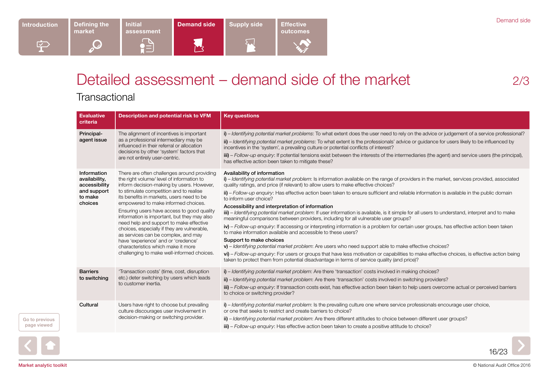# <span id="page-15-0"></span>Detailed assessment – demand side of the market 2/3

**Transactional** 

| <b>Evaluative</b><br>criteria                                                      | <b>Description and potential risk to VFM</b>                                                                                                                                                                                                                                                                                                                                                                                                                                                                                                                                                                                  | <b>Key questions</b>                                                                                                                                                                                                                                                                                                                                                                                                                                                                                                                                                                                                                                                                                                                                                                                                                                                                                                                                                                                                                                                                                                                                                                                                                                                                                                             |
|------------------------------------------------------------------------------------|-------------------------------------------------------------------------------------------------------------------------------------------------------------------------------------------------------------------------------------------------------------------------------------------------------------------------------------------------------------------------------------------------------------------------------------------------------------------------------------------------------------------------------------------------------------------------------------------------------------------------------|----------------------------------------------------------------------------------------------------------------------------------------------------------------------------------------------------------------------------------------------------------------------------------------------------------------------------------------------------------------------------------------------------------------------------------------------------------------------------------------------------------------------------------------------------------------------------------------------------------------------------------------------------------------------------------------------------------------------------------------------------------------------------------------------------------------------------------------------------------------------------------------------------------------------------------------------------------------------------------------------------------------------------------------------------------------------------------------------------------------------------------------------------------------------------------------------------------------------------------------------------------------------------------------------------------------------------------|
| Principal-<br>agent issue                                                          | The alignment of incentives is important<br>as a professional intermediary may be<br>influenced in their referral or allocation<br>decisions by other 'system' factors that<br>are not entirely user-centric.                                                                                                                                                                                                                                                                                                                                                                                                                 | i) – Identifying potential market problems: To what extent does the user need to rely on the advice or judgement of a service professional?<br>ii) – Identifying potential market problems: To what extent is the professionals' advice or guidance for users likely to be influenced by<br>incentives in the 'system', a prevailing culture or potential conflicts of interest?<br>iii) - Follow-up enquiry: If potential tensions exist between the interests of the intermediaries (the agent) and service users (the principal),<br>has effective action been taken to mitigate these?                                                                                                                                                                                                                                                                                                                                                                                                                                                                                                                                                                                                                                                                                                                                       |
| Information<br>availability,<br>accessibility<br>and support<br>to make<br>choices | There are often challenges around providing<br>the right volume/ level of information to<br>inform decision-making by users. However,<br>to stimulate competition and to realise<br>its benefits in markets, users need to be<br>empowered to make informed choices.<br>Ensuring users have access to good quality<br>information is important, but they may also<br>need help and support to make effective<br>choices, especially if they are vulnerable,<br>as services can be complex, and may<br>have 'experience' and or 'credence'<br>characteristics which make it more<br>challenging to make well-informed choices. | Availability of information<br>i) – Identifying potential market problem: Is information available on the range of providers in the market, services provided, associated<br>quality ratings, and price (if relevant) to allow users to make effective choices?<br>ii) - Follow-up enquiry: Has effective action been taken to ensure sufficient and reliable information is available in the public domain<br>to inform user choice?<br>Accessibility and interpretation of information<br>iii) - Identifying potential market problem: If user information is available, is it simple for all users to understand, interpret and to make<br>meaningful comparisons between providers, including for all vulnerable user groups?<br>iv) – Follow-up enguiry: If accessing or interpreting information is a problem for certain user groups, has effective action been taken<br>to make information available and accessible to these users?<br>Support to make choices<br>$v$ ) – Identifying potential market problem: Are users who need support able to make effective choices?<br>vi) - Follow-up enquiry: For users or groups that have less motivation or capabilities to make effective choices, is effective action being<br>taken to protect them from potential disadvantage in terms of service quality (and price)? |
| <b>Barriers</b><br>to switching                                                    | 'Transaction costs' (time, cost, disruption<br>etc.) deter switching by users which leads<br>to customer inertia.                                                                                                                                                                                                                                                                                                                                                                                                                                                                                                             | i) - Identifying potential market problem: Are there 'transaction' costs involved in making choices?<br>ii) – Identifying potential market problem: Are there 'transaction' costs involved in switching providers?<br>iii) - Follow-up enquiry: If transaction costs exist, has effective action been taken to help users overcome actual or perceived barriers<br>to choice or switching provider?                                                                                                                                                                                                                                                                                                                                                                                                                                                                                                                                                                                                                                                                                                                                                                                                                                                                                                                              |
| Cultural                                                                           | Users have right to choose but prevailing<br>culture discourages user involvement in<br>decision-making or switching provider.                                                                                                                                                                                                                                                                                                                                                                                                                                                                                                | i) – Identifying potential market problem: Is the prevailing culture one where service professionals encourage user choice,<br>or one that seeks to restrict and create barriers to choice?<br>ii) – Identifying potential market problem: Are there different attitudes to choice between different user groups?<br>iii) – Follow-up enquiry: Has effective action been taken to create a positive attitude to choice?                                                                                                                                                                                                                                                                                                                                                                                                                                                                                                                                                                                                                                                                                                                                                                                                                                                                                                          |



Go to previous page viewed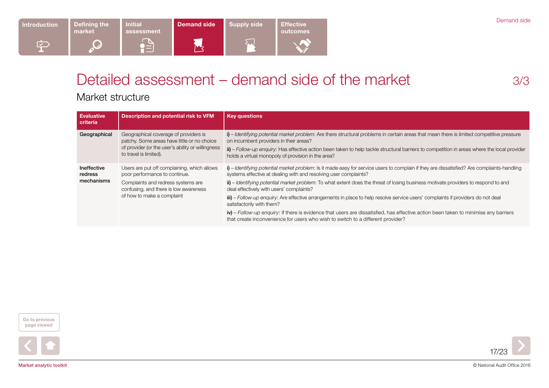# <span id="page-16-0"></span>Detailed assessment – demand side of the market 3/3

Market structure

| Evaluative<br>criteria               | <b>Description and potential risk to VFM</b>                                                                                                                                              | <b>Key questions</b>                                                                                                                                                                                                                                                                                                                                                                                                                                                                                                                                                                                                                                                                                                                                                                        |
|--------------------------------------|-------------------------------------------------------------------------------------------------------------------------------------------------------------------------------------------|---------------------------------------------------------------------------------------------------------------------------------------------------------------------------------------------------------------------------------------------------------------------------------------------------------------------------------------------------------------------------------------------------------------------------------------------------------------------------------------------------------------------------------------------------------------------------------------------------------------------------------------------------------------------------------------------------------------------------------------------------------------------------------------------|
| Geographical                         | Geographical coverage of providers is<br>patchy. Some areas have little or no choice<br>of provider (or the user's ability or willingness<br>to travel is limited).                       | i) – Identifying potential market problem: Are there structural problems in certain areas that mean there is limited competitive pressure<br>on incumbent providers in their areas?<br>ii) – Follow-up enguiry: Has effective action been taken to help tackle structural barriers to competition in areas where the local provider<br>holds a virtual monopoly of provision in the area?                                                                                                                                                                                                                                                                                                                                                                                                   |
| Ineffective<br>redress<br>mechanisms | Users are put off complaining, which allows<br>poor performance to continue.<br>Complaints and redress systems are<br>confusing, and there is low awareness<br>of how to make a complaint | i) – Identifying potential market problem: Is it made easy for service users to complain if they are dissatisfied? Are complaints-handling<br>systems effective at dealing with and resolving user complaints?<br>ii) – Identifying potential market problem: To what extent does the threat of losing business motivate providers to respond to and<br>deal effectively with users' complaints?<br>iii) – Follow-up enguiry: Are effective arrangements in place to help resolve service users' complaints if providers do not deal<br>satisfactorily with them?<br>iv) – Follow-up enquiry: If there is evidence that users are dissatisfied, has effective action been taken to minimise any barriers<br>that create inconvenience for users who wish to switch to a different provider? |



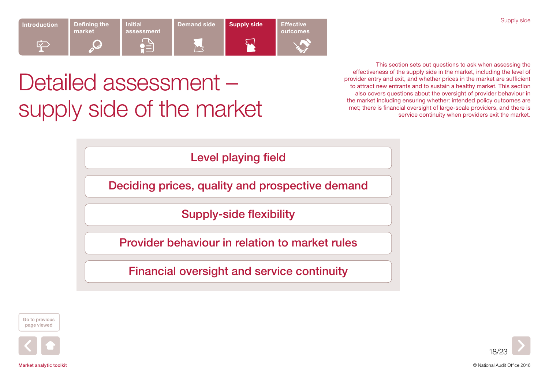<span id="page-17-0"></span>

This section sets out questions to ask when assessing the effectiveness of the supply side in the market, including the level of provider entry and exit, and whether prices in the market are sufficient to attract new entrants and to sustain a healthy market. This section also covers questions about the oversight of provider behaviour in the market including ensuring whether: intended policy outcomes are met; there is financial oversight of large-scale providers, and there is service continuity when providers exit the market.

# Detailed assessment – supply side of the market

[Level playing field](#page-18-0)

[Deciding prices, quality and prospective demand](#page-18-0)

[Supply-side flexibility](#page-18-0)

[Provider behaviour in relation to market rules](#page-19-0)

[Financial oversight and service continuity](#page-19-0)



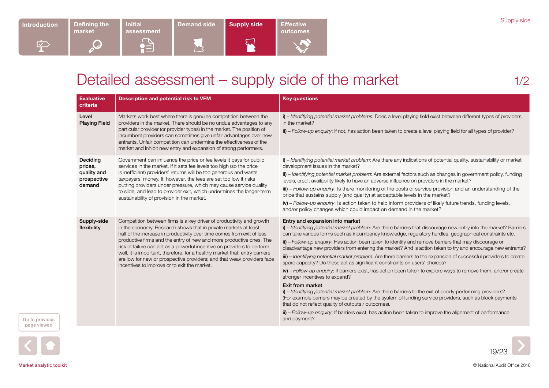# <span id="page-18-0"></span>Detailed assessment  $-$  supply side of the market  $1/2$

**Evaluative** criteria Description and potential risk to VFM **Key questions Key questions** Level Playing Field Markets work best where there is genuine competition between the providers in the market. There should be no undue advantages to any particular provider (or provider types) in the market. The position of incumbent providers can sometimes give unfair advantages over new entrants. Unfair competition can undermine the effectiveness of the market and inhibit new entry and expansion of strong performers. i) – *Identifying potential market problems*: Does a level playing field exist between different types of providers in the market? ii) – *Follow-up enquiry*: If not, has action been taken to create a level playing field for all types of provider? Deciding prices, quality and prospective demand Government can influence the price or fee levels it pays for public services in the market. If it sets fee levels too high (so the price is inefficient) providers' returns will be too generous and waste taxpayers' money. If, however, the fees are set too low it risks putting providers under pressure, which may cause service quality to slide, and lead to provider exit, which undermines the longer-term sustainability of provision in the market. i) – *Identifying potential market problem*: Are there any indications of potential quality, sustainability or market development issues in the market? ii) – *Identifying potential market problem*: Are external factors such as changes in government policy, funding levels, credit availability likely to have an adverse influence on providers in the market? iii) – *Follow-up enquiry*: Is there monitoring of the costs of service provision and an understanding of the price that sustains supply (and quality) at acceptable levels in the market? iv) – *Follow-up enquiry*: Is action taken to help inform providers of likely future trends, funding levels, and/or policy changes which could impact on demand in the market? Supply-side flexibility Competition between firms is a key driver of productivity and growth in the economy. Research shows that in private markets at least half of the increase in productivity over time comes from exit of less productive firms and the entry of new and more productive ones. The risk of failure can act as a powerful incentive on providers to perform well. It is important, therefore, for a healthy market that: entry barriers are low for new or prospective providers; and that weak providers face incentives to improve or to exit the market. Entry and expansion into market i) – *Identifying potential market problem*: Are there barriers that discourage new entry into the market? Barriers can take various forms such as incumbency knowledge, regulatory hurdles, geographical constraints etc. ii) – *Follow-up enquiry*: Has action been taken to identify and remove barriers that may discourage or disadvantage new providers from entering the market? And is action taken to try and encourage new entrants? iii) – *Identifying potential market problem*: Are there barriers to the expansion of successful providers to create spare capacity? Do these act as significant constraints on users' choices? iv) – *Follow-up enquiry*: If barriers exist, has action been taken to explore ways to remove them, and/or create stronger incentives to expand? Exit from market i) – *Identifying potential market problem*: Are there barriers to the exit of poorly-performing providers? (For example barriers may be created by the system of funding service providers, such as block payments that do not reflect quality of outputs / outcomes). ii) – *Follow-up enquiry*: If barriers exist, has action been taken to improve the alignment of performance and payment?



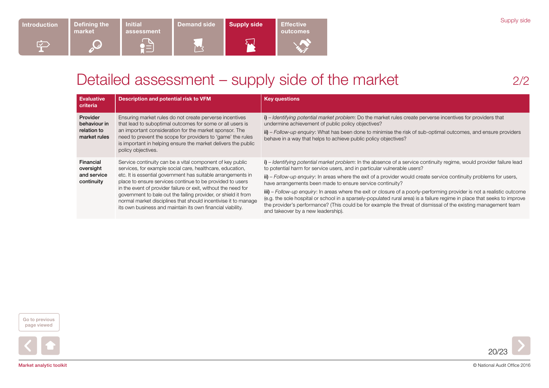# <span id="page-19-0"></span>Detailed assessment – supply side of the market 2/2

| <b>Evaluative</b><br>criteria                                  | Description and potential risk to VFM                                                                                                                                                                                                                                                                                                                                                                                                                                                                                   | <b>Key questions</b>                                                                                                                                                                                                                                                                                                                                                                                                                                                                                                                                                                                                                                                                                                                                                                                |
|----------------------------------------------------------------|-------------------------------------------------------------------------------------------------------------------------------------------------------------------------------------------------------------------------------------------------------------------------------------------------------------------------------------------------------------------------------------------------------------------------------------------------------------------------------------------------------------------------|-----------------------------------------------------------------------------------------------------------------------------------------------------------------------------------------------------------------------------------------------------------------------------------------------------------------------------------------------------------------------------------------------------------------------------------------------------------------------------------------------------------------------------------------------------------------------------------------------------------------------------------------------------------------------------------------------------------------------------------------------------------------------------------------------------|
| <b>Provider</b><br>behaviour in<br>relation to<br>market rules | Ensuring market rules do not create perverse incentives<br>that lead to suboptimal outcomes for some or all users is<br>an important consideration for the market sponsor. The<br>need to prevent the scope for providers to 'game' the rules<br>is important in helping ensure the market delivers the public<br>policy objectives.                                                                                                                                                                                    | i) – Identifying potential market problem: Do the market rules create perverse incentives for providers that<br>undermine achievement of public policy objectives?<br>ii) – Follow-up enquiry: What has been done to minimise the risk of sub-optimal outcomes, and ensure providers<br>behave in a way that helps to achieve public policy objectives?                                                                                                                                                                                                                                                                                                                                                                                                                                             |
| Financial<br>oversight<br>and service<br>continuity            | Service continuity can be a vital component of key public<br>services, for example social care, healthcare, education,<br>etc. It is essential government has suitable arrangements in<br>place to ensure services continue to be provided to users<br>in the event of provider failure or exit, without the need for<br>government to bale out the failing provider, or shield it from<br>normal market disciplines that should incentivise it to manage<br>its own business and maintain its own financial viability. | i) - Identifying potential market problem: In the absence of a service continuity regime, would provider failure lead<br>to potential harm for service users, and in particular vulnerable users?<br>ii) – Follow-up enguiry: In areas where the exit of a provider would create service continuity problems for users,<br>have arrangements been made to ensure service continuity?<br>iii) – Follow-up enquiry: In areas where the exit or closure of a poorly-performing provider is not a realistic outcome<br>(e.g. the sole hospital or school in a sparsely-populated rural area) is a failure regime in place that seeks to improve<br>the provider's performance? (This could be for example the threat of dismissal of the existing management team<br>and takeover by a new leadership). |



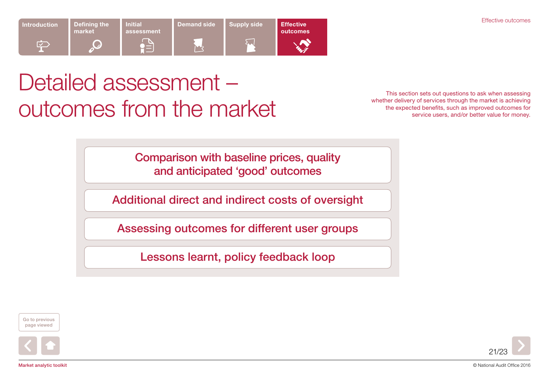<span id="page-20-0"></span>Detailed assessment –

outcomes from the market

This section sets out questions to ask when assessing whether delivery of services through the market is achieving the expected benefits, such as improved outcomes for service users, and/or better value for money.

[Comparison with baseline prices, quality](#page-21-0)  [and anticipated 'good' outcomes](#page-21-0)

[Additional direct and indirect costs of oversight](#page-21-0)

[Assessing outcomes for different user groups](#page-22-0)

[Lessons learnt, policy feedback loop](#page-22-0)



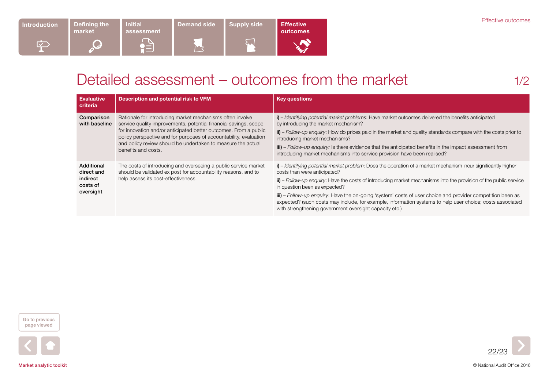# <span id="page-21-0"></span>Detailed assessment – outcomes from the market 1/2

| <b>Evaluative</b><br>criteria                                 | Description and potential risk to VFM                                                                                                                                                                                                                                                                                                                         | <b>Key questions</b>                                                                                                                                                                                                                                                                                                                                                                                                                                                                                                                                                                            |
|---------------------------------------------------------------|---------------------------------------------------------------------------------------------------------------------------------------------------------------------------------------------------------------------------------------------------------------------------------------------------------------------------------------------------------------|-------------------------------------------------------------------------------------------------------------------------------------------------------------------------------------------------------------------------------------------------------------------------------------------------------------------------------------------------------------------------------------------------------------------------------------------------------------------------------------------------------------------------------------------------------------------------------------------------|
| Comparison<br>with baseline                                   | Rationale for introducing market mechanisms often involve<br>service quality improvements, potential financial savings, scope<br>for innovation and/or anticipated better outcomes. From a public<br>policy perspective and for purposes of accountability, evaluation<br>and policy review should be undertaken to measure the actual<br>benefits and costs. | i) – Identifying potential market problems: Have market outcomes delivered the benefits anticipated<br>by introducing the market mechanism?<br>ii) – Follow-up enquiry: How do prices paid in the market and quality standards compare with the costs prior to<br>introducing market mechanisms?<br>iii) – Follow-up enquiry: Is there evidence that the anticipated benefits in the impact assessment from<br>introducing market mechanisms into service provision have been realised?                                                                                                         |
| Additional<br>direct and<br>indirect<br>costs of<br>oversight | The costs of introducing and overseeing a public service market<br>should be validated ex post for accountability reasons, and to<br>help assess its cost-effectiveness.                                                                                                                                                                                      | $i$ ) – Identifying potential market problem: Does the operation of a market mechanism incur significantly higher<br>costs than were anticipated?<br>$ii$ ) – Follow-up enquiry: Have the costs of introducing market mechanisms into the provision of the public service<br>in question been as expected?<br>iii) – Follow-up enguiry: Have the on-going 'system' costs of user choice and provider competition been as<br>expected? (such costs may include, for example, information systems to help user choice; costs associated<br>with strengthening government oversight capacity etc.) |